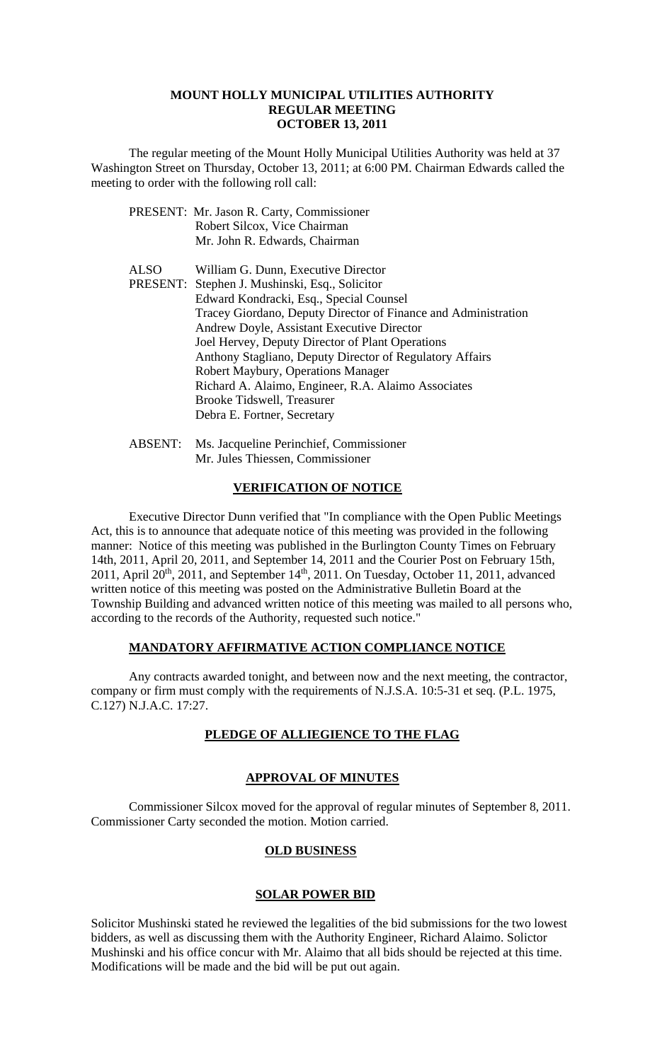#### **MOUNT HOLLY MUNICIPAL UTILITIES AUTHORITY REGULAR MEETING OCTOBER 13, 2011**

 The regular meeting of the Mount Holly Municipal Utilities Authority was held at 37 Washington Street on Thursday, October 13, 2011; at 6:00 PM. Chairman Edwards called the meeting to order with the following roll call:

|             | PRESENT: Mr. Jason R. Carty, Commissioner                      |
|-------------|----------------------------------------------------------------|
|             | Robert Silcox, Vice Chairman                                   |
|             | Mr. John R. Edwards, Chairman                                  |
| <b>ALSO</b> | William G. Dunn, Executive Director                            |
|             | PRESENT: Stephen J. Mushinski, Esq., Solicitor                 |
|             | Edward Kondracki, Esq., Special Counsel                        |
|             | Tracey Giordano, Deputy Director of Finance and Administration |
|             | Andrew Doyle, Assistant Executive Director                     |
|             | Joel Hervey, Deputy Director of Plant Operations               |
|             | Anthony Stagliano, Deputy Director of Regulatory Affairs       |
|             | Robert Maybury, Operations Manager                             |
|             | Richard A. Alaimo, Engineer, R.A. Alaimo Associates            |
|             | <b>Brooke Tidswell, Treasurer</b>                              |
|             | Debra E. Fortner, Secretary                                    |
|             |                                                                |

 ABSENT: Ms. Jacqueline Perinchief, Commissioner Mr. Jules Thiessen, Commissioner

### **VERIFICATION OF NOTICE**

 Executive Director Dunn verified that "In compliance with the Open Public Meetings Act, this is to announce that adequate notice of this meeting was provided in the following manner: Notice of this meeting was published in the Burlington County Times on February 14th, 2011, April 20, 2011, and September 14, 2011 and the Courier Post on February 15th, 2011, April  $20^{th}$ , 2011, and September 14<sup>th</sup>, 2011. On Tuesday, October 11, 2011, advanced written notice of this meeting was posted on the Administrative Bulletin Board at the Township Building and advanced written notice of this meeting was mailed to all persons who, according to the records of the Authority, requested such notice."

# **MANDATORY AFFIRMATIVE ACTION COMPLIANCE NOTICE**

 Any contracts awarded tonight, and between now and the next meeting, the contractor, company or firm must comply with the requirements of N.J.S.A. 10:5-31 et seq. (P.L. 1975, C.127) N.J.A.C. 17:27.

# **PLEDGE OF ALLIEGIENCE TO THE FLAG**

# **APPROVAL OF MINUTES**

Commissioner Silcox moved for the approval of regular minutes of September 8, 2011. Commissioner Carty seconded the motion. Motion carried.

# **OLD BUSINESS**

### **SOLAR POWER BID**

Solicitor Mushinski stated he reviewed the legalities of the bid submissions for the two lowest bidders, as well as discussing them with the Authority Engineer, Richard Alaimo. Solictor Mushinski and his office concur with Mr. Alaimo that all bids should be rejected at this time. Modifications will be made and the bid will be put out again.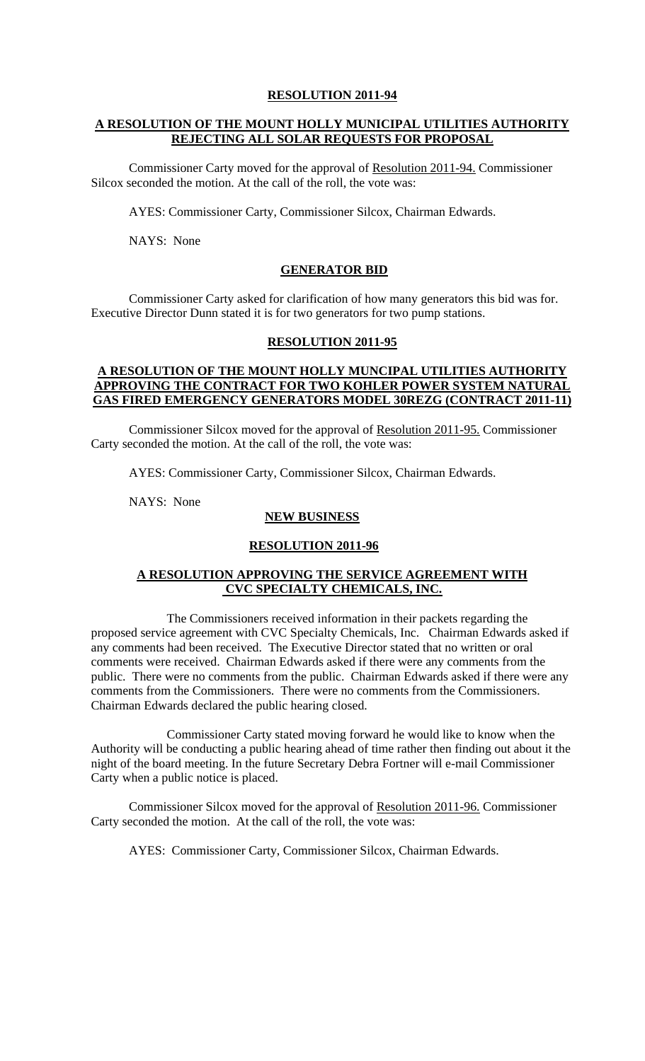#### **RESOLUTION 2011-94**

# **A RESOLUTION OF THE MOUNT HOLLY MUNICIPAL UTILITIES AUTHORITY REJECTING ALL SOLAR REQUESTS FOR PROPOSAL**

Commissioner Carty moved for the approval of Resolution 2011-94. Commissioner Silcox seconded the motion. At the call of the roll, the vote was:

AYES: Commissioner Carty, Commissioner Silcox, Chairman Edwards.

NAYS: None

### **GENERATOR BID**

 Commissioner Carty asked for clarification of how many generators this bid was for. Executive Director Dunn stated it is for two generators for two pump stations.

## **RESOLUTION 2011-95**

## **A RESOLUTION OF THE MOUNT HOLLY MUNCIPAL UTILITIES AUTHORITY APPROVING THE CONTRACT FOR TWO KOHLER POWER SYSTEM NATURAL GAS FIRED EMERGENCY GENERATORS MODEL 30REZG (CONTRACT 2011-11)**

Commissioner Silcox moved for the approval of Resolution 2011-95. Commissioner Carty seconded the motion. At the call of the roll, the vote was:

AYES: Commissioner Carty, Commissioner Silcox, Chairman Edwards.

NAYS: None

# **NEW BUSINESS**

#### **RESOLUTION 2011-96**

### **A RESOLUTION APPROVING THE SERVICE AGREEMENT WITH CVC SPECIALTY CHEMICALS, INC.**

 The Commissioners received information in their packets regarding the proposed service agreement with CVC Specialty Chemicals, Inc. Chairman Edwards asked if any comments had been received. The Executive Director stated that no written or oral comments were received. Chairman Edwards asked if there were any comments from the public. There were no comments from the public. Chairman Edwards asked if there were any comments from the Commissioners. There were no comments from the Commissioners. Chairman Edwards declared the public hearing closed.

 Commissioner Carty stated moving forward he would like to know when the Authority will be conducting a public hearing ahead of time rather then finding out about it the night of the board meeting. In the future Secretary Debra Fortner will e-mail Commissioner Carty when a public notice is placed.

Commissioner Silcox moved for the approval of Resolution 2011-96. Commissioner Carty seconded the motion. At the call of the roll, the vote was:

AYES: Commissioner Carty, Commissioner Silcox, Chairman Edwards.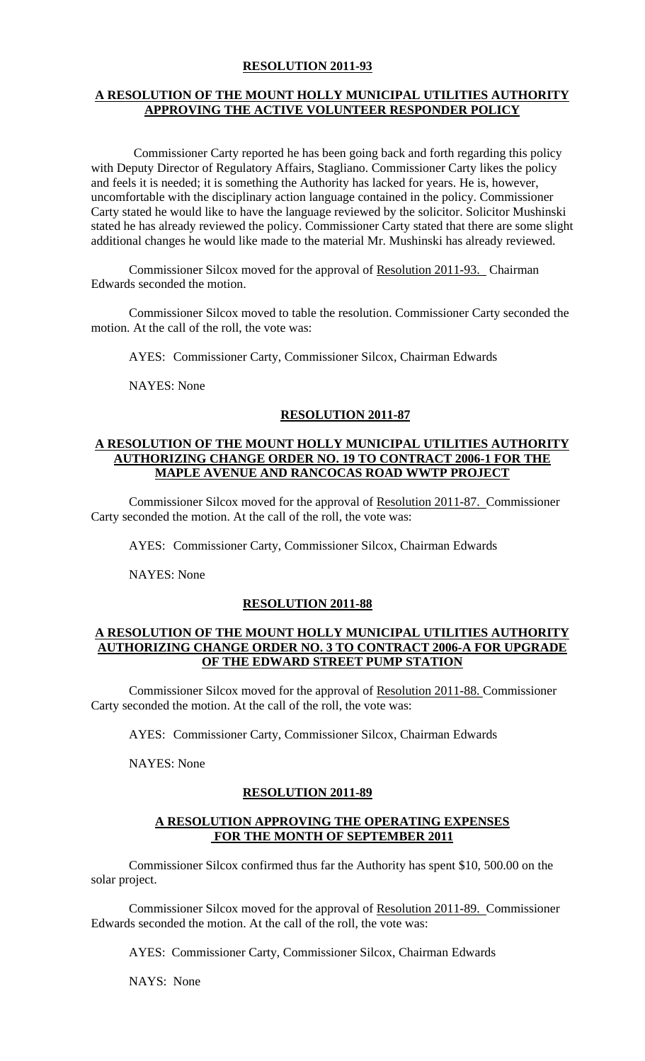## **RESOLUTION 2011-93**

# **A RESOLUTION OF THE MOUNT HOLLY MUNICIPAL UTILITIES AUTHORITY APPROVING THE ACTIVE VOLUNTEER RESPONDER POLICY**

 Commissioner Carty reported he has been going back and forth regarding this policy with Deputy Director of Regulatory Affairs, Stagliano. Commissioner Carty likes the policy and feels it is needed; it is something the Authority has lacked for years. He is, however, uncomfortable with the disciplinary action language contained in the policy. Commissioner Carty stated he would like to have the language reviewed by the solicitor. Solicitor Mushinski stated he has already reviewed the policy. Commissioner Carty stated that there are some slight additional changes he would like made to the material Mr. Mushinski has already reviewed.

Commissioner Silcox moved for the approval of Resolution 2011-93. Chairman Edwards seconded the motion.

Commissioner Silcox moved to table the resolution. Commissioner Carty seconded the motion. At the call of the roll, the vote was:

AYES: Commissioner Carty, Commissioner Silcox, Chairman Edwards

NAYES: None

# **RESOLUTION 2011-87**

#### **A RESOLUTION OF THE MOUNT HOLLY MUNICIPAL UTILITIES AUTHORITY AUTHORIZING CHANGE ORDER NO. 19 TO CONTRACT 2006-1 FOR THE MAPLE AVENUE AND RANCOCAS ROAD WWTP PROJECT**

Commissioner Silcox moved for the approval of Resolution 2011-87. Commissioner Carty seconded the motion. At the call of the roll, the vote was:

AYES: Commissioner Carty, Commissioner Silcox, Chairman Edwards

NAYES: None

# **RESOLUTION 2011-88**

### **A RESOLUTION OF THE MOUNT HOLLY MUNICIPAL UTILITIES AUTHORITY AUTHORIZING CHANGE ORDER NO. 3 TO CONTRACT 2006-A FOR UPGRADE OF THE EDWARD STREET PUMP STATION**

Commissioner Silcox moved for the approval of Resolution 2011-88. Commissioner Carty seconded the motion. At the call of the roll, the vote was:

AYES: Commissioner Carty, Commissioner Silcox, Chairman Edwards

NAYES: None

# **RESOLUTION 2011-89**

### **A RESOLUTION APPROVING THE OPERATING EXPENSES FOR THE MONTH OF SEPTEMBER 2011**

 Commissioner Silcox confirmed thus far the Authority has spent \$10, 500.00 on the solar project.

Commissioner Silcox moved for the approval of Resolution 2011-89. Commissioner Edwards seconded the motion. At the call of the roll, the vote was:

AYES: Commissioner Carty, Commissioner Silcox, Chairman Edwards

NAYS: None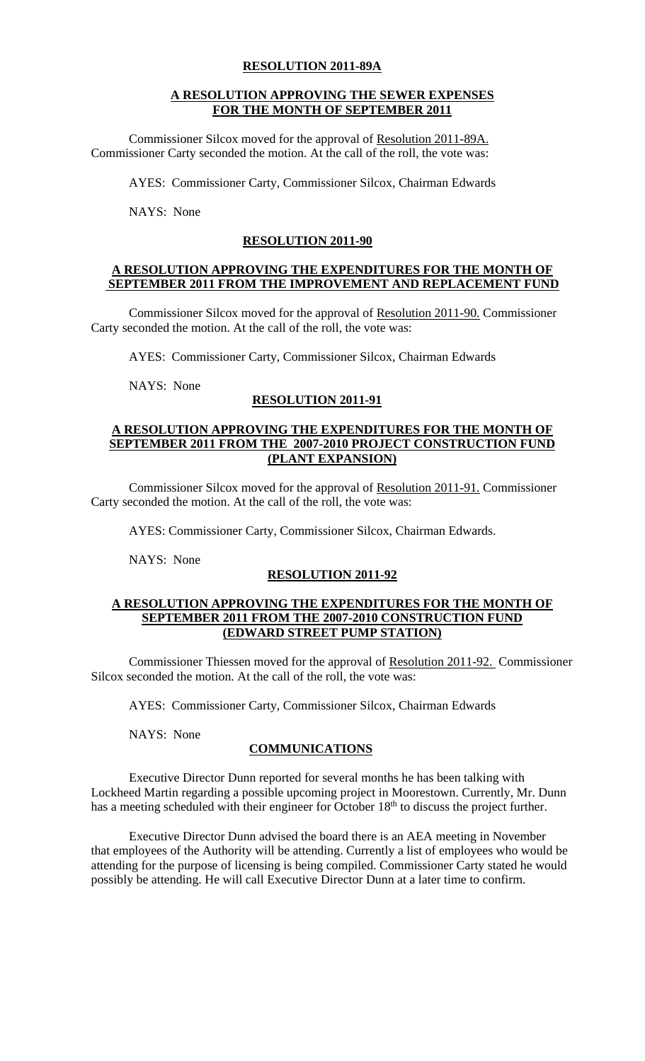## **RESOLUTION 2011-89A**

## **A RESOLUTION APPROVING THE SEWER EXPENSES FOR THE MONTH OF SEPTEMBER 2011**

Commissioner Silcox moved for the approval of Resolution 2011-89A. Commissioner Carty seconded the motion. At the call of the roll, the vote was:

AYES: Commissioner Carty, Commissioner Silcox, Chairman Edwards

NAYS: None

## **RESOLUTION 2011-90**

## **A RESOLUTION APPROVING THE EXPENDITURES FOR THE MONTH OF SEPTEMBER 2011 FROM THE IMPROVEMENT AND REPLACEMENT FUND**

Commissioner Silcox moved for the approval of Resolution 2011-90. Commissioner Carty seconded the motion. At the call of the roll, the vote was:

AYES: Commissioner Carty, Commissioner Silcox, Chairman Edwards

NAYS: None

# **RESOLUTION 2011-91**

## **A RESOLUTION APPROVING THE EXPENDITURES FOR THE MONTH OF SEPTEMBER 2011 FROM THE 2007-2010 PROJECT CONSTRUCTION FUND (PLANT EXPANSION)**

Commissioner Silcox moved for the approval of Resolution 2011-91. Commissioner Carty seconded the motion. At the call of the roll, the vote was:

AYES: Commissioner Carty, Commissioner Silcox, Chairman Edwards.

NAYS: None

# **RESOLUTION 2011-92**

### **A RESOLUTION APPROVING THE EXPENDITURES FOR THE MONTH OF SEPTEMBER 2011 FROM THE 2007-2010 CONSTRUCTION FUND (EDWARD STREET PUMP STATION)**

Commissioner Thiessen moved for the approval of Resolution 2011-92. Commissioner Silcox seconded the motion. At the call of the roll, the vote was:

AYES: Commissioner Carty, Commissioner Silcox, Chairman Edwards

NAYS: None

# **COMMUNICATIONS**

 Executive Director Dunn reported for several months he has been talking with Lockheed Martin regarding a possible upcoming project in Moorestown. Currently, Mr. Dunn has a meeting scheduled with their engineer for October 18<sup>th</sup> to discuss the project further.

 Executive Director Dunn advised the board there is an AEA meeting in November that employees of the Authority will be attending. Currently a list of employees who would be attending for the purpose of licensing is being compiled. Commissioner Carty stated he would possibly be attending. He will call Executive Director Dunn at a later time to confirm.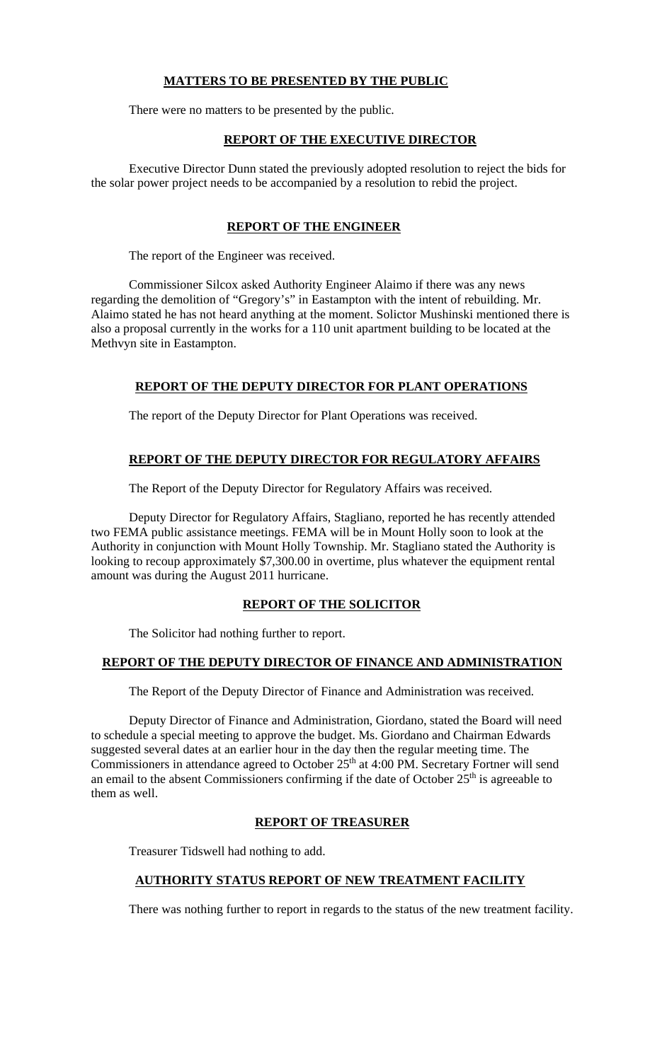# **MATTERS TO BE PRESENTED BY THE PUBLIC**

There were no matters to be presented by the public.

# **REPORT OF THE EXECUTIVE DIRECTOR**

Executive Director Dunn stated the previously adopted resolution to reject the bids for the solar power project needs to be accompanied by a resolution to rebid the project.

# **REPORT OF THE ENGINEER**

The report of the Engineer was received.

 Commissioner Silcox asked Authority Engineer Alaimo if there was any news regarding the demolition of "Gregory's" in Eastampton with the intent of rebuilding. Mr. Alaimo stated he has not heard anything at the moment. Solictor Mushinski mentioned there is also a proposal currently in the works for a 110 unit apartment building to be located at the Methvyn site in Eastampton.

# **REPORT OF THE DEPUTY DIRECTOR FOR PLANT OPERATIONS**

The report of the Deputy Director for Plant Operations was received.

# **REPORT OF THE DEPUTY DIRECTOR FOR REGULATORY AFFAIRS**

The Report of the Deputy Director for Regulatory Affairs was received.

 Deputy Director for Regulatory Affairs, Stagliano, reported he has recently attended two FEMA public assistance meetings. FEMA will be in Mount Holly soon to look at the Authority in conjunction with Mount Holly Township. Mr. Stagliano stated the Authority is looking to recoup approximately \$7,300.00 in overtime, plus whatever the equipment rental amount was during the August 2011 hurricane.

# **REPORT OF THE SOLICITOR**

The Solicitor had nothing further to report.

# **REPORT OF THE DEPUTY DIRECTOR OF FINANCE AND ADMINISTRATION**

The Report of the Deputy Director of Finance and Administration was received.

Deputy Director of Finance and Administration, Giordano, stated the Board will need to schedule a special meeting to approve the budget. Ms. Giordano and Chairman Edwards suggested several dates at an earlier hour in the day then the regular meeting time. The Commissioners in attendance agreed to October 25<sup>th</sup> at 4:00 PM. Secretary Fortner will send an email to the absent Commissioners confirming if the date of October  $25<sup>th</sup>$  is agreeable to them as well.

# **REPORT OF TREASURER**

Treasurer Tidswell had nothing to add.

# **AUTHORITY STATUS REPORT OF NEW TREATMENT FACILITY**

There was nothing further to report in regards to the status of the new treatment facility.